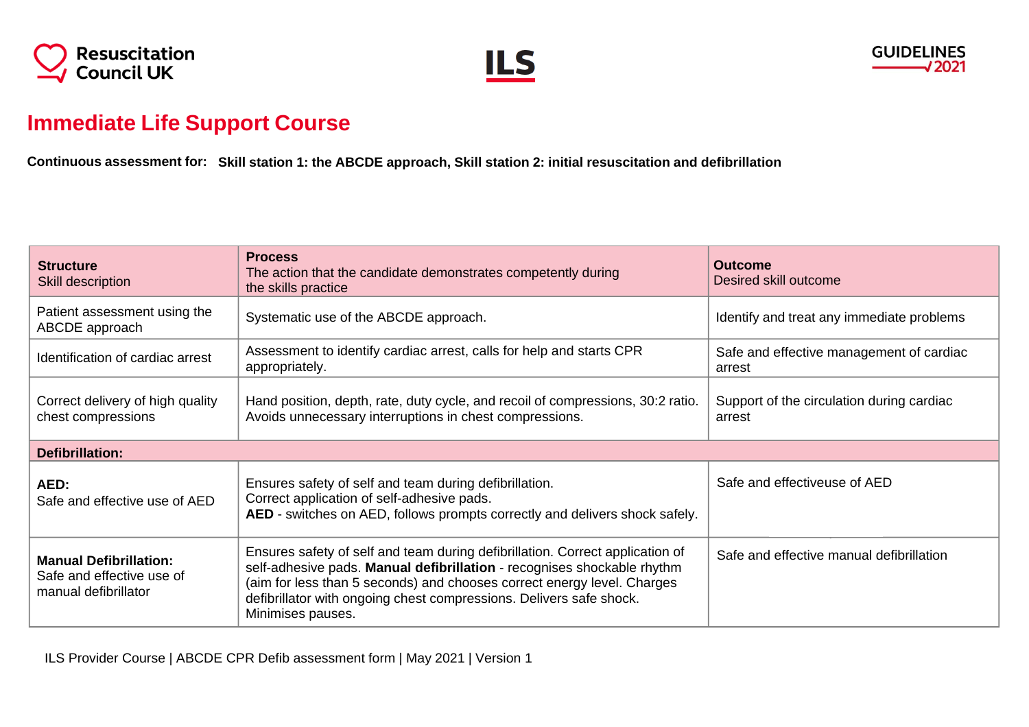





## **Immediate Life Support Course**

Continuous assessment for: Skill station 1: the ABCDE approach, Skill station 2: initial resuscitation and defibrillation

| <b>Structure</b><br>Skill description                                              | <b>Process</b><br>The action that the candidate demonstrates competently during<br>the skills practice                                                                                                                                                                                                                          | <b>Outcome</b><br>Desired skill outcome             |  |
|------------------------------------------------------------------------------------|---------------------------------------------------------------------------------------------------------------------------------------------------------------------------------------------------------------------------------------------------------------------------------------------------------------------------------|-----------------------------------------------------|--|
| Patient assessment using the<br>ABCDE approach                                     | Systematic use of the ABCDE approach.                                                                                                                                                                                                                                                                                           | Identify and treat any immediate problems           |  |
| Identification of cardiac arrest                                                   | Assessment to identify cardiac arrest, calls for help and starts CPR<br>appropriately.                                                                                                                                                                                                                                          | Safe and effective management of cardiac<br>arrest  |  |
| Correct delivery of high quality<br>chest compressions                             | Hand position, depth, rate, duty cycle, and recoil of compressions, 30:2 ratio.<br>Avoids unnecessary interruptions in chest compressions.                                                                                                                                                                                      | Support of the circulation during cardiac<br>arrest |  |
| <b>Defibrillation:</b>                                                             |                                                                                                                                                                                                                                                                                                                                 |                                                     |  |
| AED:<br>Safe and effective use of AED                                              | Ensures safety of self and team during defibrillation.<br>Correct application of self-adhesive pads.<br>AED - switches on AED, follows prompts correctly and delivers shock safely.                                                                                                                                             | Safe and effectiveuse of AED                        |  |
| <b>Manual Defibrillation:</b><br>Safe and effective use of<br>manual defibrillator | Ensures safety of self and team during defibrillation. Correct application of<br>self-adhesive pads. Manual defibrillation - recognises shockable rhythm<br>(aim for less than 5 seconds) and chooses correct energy level. Charges<br>defibrillator with ongoing chest compressions. Delivers safe shock.<br>Minimises pauses. | Safe and effective manual defibrillation            |  |

ILS Provider Course | ABCDE CPR Defib assessment form | May 2021 | Version 1